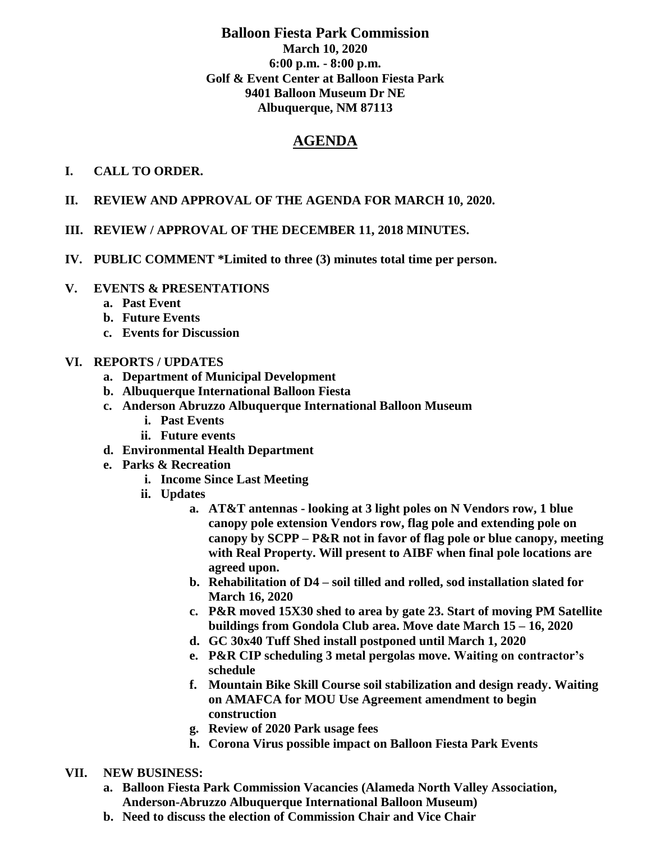## **Balloon Fiesta Park Commission March 10, 2020 6:00 p.m. - 8:00 p.m. Golf & Event Center at Balloon Fiesta Park 9401 Balloon Museum Dr NE Albuquerque, NM 87113**

# **AGENDA**

## **I. CALL TO ORDER.**

- **II. REVIEW AND APPROVAL OF THE AGENDA FOR MARCH 10, 2020.**
- **III. REVIEW / APPROVAL OF THE DECEMBER 11, 2018 MINUTES.**
- **IV. PUBLIC COMMENT \*Limited to three (3) minutes total time per person.**

## **V. EVENTS & PRESENTATIONS**

- **a. Past Event**
- **b. Future Events**
- **c. Events for Discussion**

## **VI. REPORTS / UPDATES**

- **a. Department of Municipal Development**
- **b. Albuquerque International Balloon Fiesta**
- **c. Anderson Abruzzo Albuquerque International Balloon Museum**
	- **i. Past Events**
	- **ii. Future events**
- **d. Environmental Health Department**
- **e. Parks & Recreation** 
	- **i. Income Since Last Meeting**
	- **ii. Updates**
		- **a. AT&T antennas - looking at 3 light poles on N Vendors row, 1 blue canopy pole extension Vendors row, flag pole and extending pole on canopy by SCPP – P&R not in favor of flag pole or blue canopy, meeting with Real Property. Will present to AIBF when final pole locations are agreed upon.**
		- **b. Rehabilitation of D4 – soil tilled and rolled, sod installation slated for March 16, 2020**
		- **c. P&R moved 15X30 shed to area by gate 23. Start of moving PM Satellite buildings from Gondola Club area. Move date March 15 – 16, 2020**
		- **d. GC 30x40 Tuff Shed install postponed until March 1, 2020**
		- **e. P&R CIP scheduling 3 metal pergolas move. Waiting on contractor's schedule**
		- **f. Mountain Bike Skill Course soil stabilization and design ready. Waiting on AMAFCA for MOU Use Agreement amendment to begin construction**
		- **g. Review of 2020 Park usage fees**
		- **h. Corona Virus possible impact on Balloon Fiesta Park Events**
- **VII. NEW BUSINESS:**
	- **a. Balloon Fiesta Park Commission Vacancies (Alameda North Valley Association, Anderson-Abruzzo Albuquerque International Balloon Museum)**
	- **b. Need to discuss the election of Commission Chair and Vice Chair**